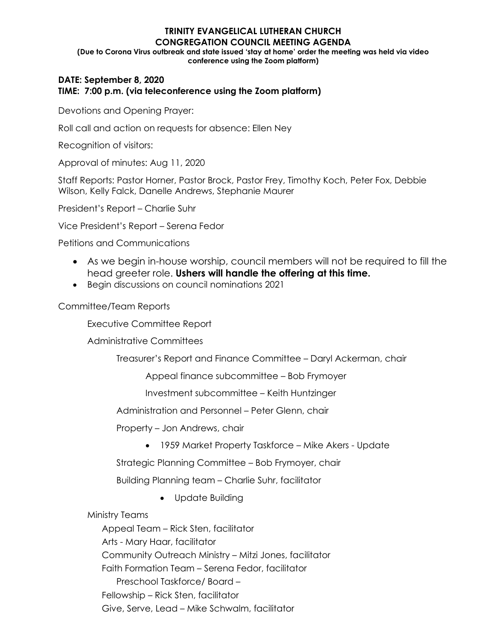#### **TRINITY EVANGELICAL LUTHERAN CHURCH CONGREGATION COUNCIL MEETING AGENDA (Due to Corona Virus outbreak and state issued 'stay at home' order the meeting was held via video conference using the Zoom platform)**

## **DATE: September 8, 2020 TIME: 7:00 p.m. (via teleconference using the Zoom platform)**

Devotions and Opening Prayer:

Roll call and action on requests for absence: Ellen Ney

Recognition of visitors:

Approval of minutes: Aug 11, 2020

Staff Reports: Pastor Horner, Pastor Brock, Pastor Frey, Timothy Koch, Peter Fox, Debbie Wilson, Kelly Falck, Danelle Andrews, Stephanie Maurer

President's Report – Charlie Suhr

Vice President's Report – Serena Fedor

Petitions and Communications

- As we begin in-house worship, council members will not be required to fill the head greeter role. **Ushers will handle the offering at this time.**
- Begin discussions on council nominations 2021

Committee/Team Reports

Executive Committee Report

Administrative Committees

Treasurer's Report and Finance Committee – Daryl Ackerman, chair

Appeal finance subcommittee – Bob Frymoyer

Investment subcommittee – Keith Huntzinger

Administration and Personnel – Peter Glenn, chair

Property – Jon Andrews, chair

• 1959 Market Property Taskforce – Mike Akers - Update

Strategic Planning Committee – Bob Frymoyer, chair

Building Planning team – Charlie Suhr, facilitator

• Update Building

Ministry Teams

Appeal Team – Rick Sten, facilitator Arts - Mary Haar, facilitator Community Outreach Ministry – Mitzi Jones, facilitator Faith Formation Team – Serena Fedor, facilitator Preschool Taskforce/ Board – Fellowship – Rick Sten, facilitator Give, Serve, Lead – Mike Schwalm, facilitator